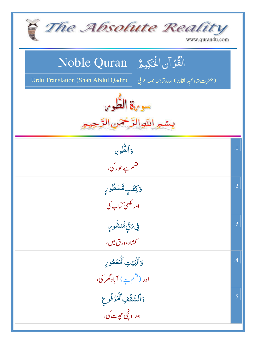| The Absolute Reality<br>www.quran4u.com                                                                                         |                 |
|---------------------------------------------------------------------------------------------------------------------------------|-----------------|
| الْقُرْآنِ الْحَكِيمُ ِ Noble Quran<br>Urdu Translation (Shah Abdul Qadir)<br>(حقرت شاه عبد القادر) اردوتر <i>جمه بمعه ح</i> لي |                 |
| سورة الطّور<br>بسمه اللهاالرَّحْمَن                                                                                             |                 |
| والطوي<br>۔<br>قسم ہے طور کی،                                                                                                   | $\overline{.1}$ |
| وَكِتَبِهَّسَطُورٍ<br>اور لکھی کہا <sup>۔</sup> کی                                                                              | $\cdot$ .2      |
| ڣۣ؆ۊ۪ۣؓڡؓٮ۬ۺۘٛ۠ۅؠۣ<br><i>گشاده ورق میں،</i>                                                                                     | .3              |
| وَٱلۡبَيۡتِ ٱلۡمَعۡمُوِنِ<br>اور (قسم ہے) آبادگھر کی،                                                                           | .4              |
| وَٱلسَّقَفِٱلۡمَرۡفُوعِ<br>اور او نچی ح <u>ج</u> ت کی،                                                                          | .5              |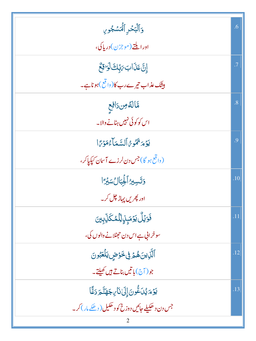| وَٱلۡبَحۡرِ ٱلۡمَسۡجُوبِ                           | .6        |
|----------------------------------------------------|-----------|
| اور ايلتے (موجزن) دريا کې،                         |           |
| إِنَّ عَذَابَ مَبِّكَ لَوَاقِعٌ                    | $\cdot$ 7 |
| بیٹک <i>عذ</i> اب تیرے رب کا(واقع )ہوناہے۔         |           |
| مَّالصُّون رَافِع                                  | .8        |
| اس کو کوئی نہیں ہٹانے والا۔                        |           |
| يَوْمَ <sup>عَ</sup> هُوْمُ ٱلسَّعَاْءُمَوْمًا     | 9.        |
| (واقع ہو گا) جس دن لرزے آسان کیکیاکر،              |           |
| وَتَسِيرُ أَلْجِبَالُ سَيْرًا                      | .10       |
| اور پھریں پہاڑ چل کر۔                              |           |
| ڣ <i>ؘۏ</i> ٙؽڵٛ <i>ؾۯ</i> ؘڡؘۑٕڹٟٳڷڷڡ۠ػڵؚۨڹؚؾ     | .11       |
| سوخراني ہے اس دن حجٹلانے والوں کی،                 |           |
| ٱلَّٰٓزِينَ هُمۡ فِى خَوۡضٍ يَلۡعَبُونَ            | .12       |
| جو( آج) باتيں بناتے ہيں کھيلتے۔                    |           |
| يَوۡمَ يُدَعُّونَ إِلَىٰنَاۤ بِجَهَنَّمَ دَعَّا    | .13       |
| جس دن د ھکیلے جائیں دوزخ کو د ھکیل ( دھکے مار) کر۔ |           |
|                                                    |           |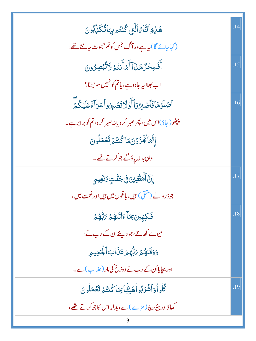| ۿٙڶؚ؋ؚٱڶڹؓٲٙ؉ٱڶؖڹۑٴػڹؾ۠ۄڽؚؠؘٵؾ۠ػؘڶؚۨڋۊڹ                                  | .14 |
|--------------------------------------------------------------------------|-----|
| (کہاجائے گا) میہ ہے وہ آگ جس کو تم حجھوٹ جانتے تھے،                      |     |
| أَفَسِحُرٌ هَذَآأَهُ أَنتُمۡ لَاتُّبۡصِرُونَ                             | .15 |
| اب بھلاپہ جادوہے، پاتم کو نہیں سوجھتا؟                                   |     |
| ٱصۡلَوۡهَافَٱصۡبِرُوٓٲٲۡوَلَاتَصۡبِرُواۡسَوَٱءٌعَلَيۡكُمَّ               | .16 |
| پنیٹھو( جاؤ)اس میں، پھر صبر کر ویانہ صبر کر و، تم کوبر ابر ہے۔           |     |
| إِتَّمَاتُجْزَوْنَ مَاكُنتُمَ تَعُمَلُونَ                                |     |
| وہی بدلہ پاؤگے جو کرتے تھے۔                                              |     |
| ٳۣڹ <i>ؖ</i> ٲڷؙ <i>ڡٛ</i> ؾؖٞۊؚؾۣؗؗ؈ۣ۬ڿڵٙؾٟۅؘٮؘۼؠۄؚ                     | .17 |
| جو ڈر والے (متقی ) <del>ہی</del> ں، باغوں میں ہیں اور نعمت میں ،         |     |
| فَكِهِينَ بِمَآءَاتَنهُمْ بَبُّهُمْ                                      | .18 |
| میوے کھاتے،جو دیئے ان کے رب نے،                                          |     |
| وَوَقَنْهُمْ يَأْبُهُمْ عَذَابَ أَلْجَحِيمِ                              |     |
| اور بجایااُن کے رب نے دوزخ کی مار (عذاب) سے۔                             |     |
| ڴڵۅٲۅؘٱۺ۫ٓۯڹ۠ۅٲۿڹ <i>ؿ</i> ٙٚٵ <i>ؚ</i> ؚؿٵػۢٮ۬ؾ۠ <sub>ۿ</sub> ؚڷۼؘڡؘڵۄڹ | .19 |
| کھاؤادر پیوُرچ(مڑے)سے،بدلہ اس کاجوکرتے تھے،                              |     |
|                                                                          |     |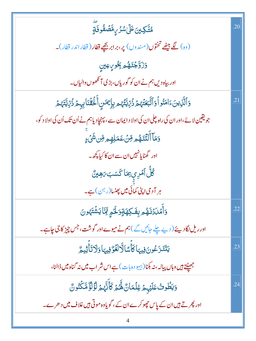| ۿ <i>ؾ۠ۜۜڲ</i> ؾ <i>ؾ</i> ۘٵٙ <i>ۣڶۺۯ۠ڕۣۨ</i> ڡؓڞٙڡٛ۠۬ۅڡؘ۬ٙ <i>ۊٟ</i>                              | .20 |
|----------------------------------------------------------------------------------------------------|-----|
| (وہ) گے بیٹھے تختوں(مندوں) پر،برابر بچھے قطار ( قطار اندر قطار)۔                                   |     |
| <b>وَزَوَّجْتَهُمْ بِجُورِ عِينِ</b>                                                               |     |
| اور بیاہ دیں ہم نے ان کو گوریاں،بڑی آنکھوں والیاں۔                                                 |     |
| <u>ۏ</u> ٲڷۜڶۣٳؾؘٵؚڡؘڹ۠ۅٲٝۏٲڐۜۧؠ <i>ؘۼڎٙؠ</i> ۠ۯ۠ڒ۠ٳؾۜ <i>ڋٛ</i> ۄ؊ڸٟڲڛؘٲۜڶٙػڡؗٞڹؘٵۑۑؚؽٙۯ۠ڒؚڸؾۜؠٛۿ | .21 |
| جویقین لا ئے،اور ان کی راہ چلی ان کی اولا د ایمان سے ، پہنچاد یاہم نے اُن تک اُن کی اولا د کو،     |     |
| <mark>وَمَآ أَلۡتَنَمُ</mark> هِ مِّنۡ عَمَلِهِم مِّن شَىۡ ۚ                                       |     |
| اور گھٹایانہیں ان سے ان کا کیا کچھ۔                                                                |     |
| ڴڵٞٲ <i>مٞڔۑۥؚٙ</i> مَاػٙسَب <i>َ؋</i> ڡۣێ <i>۠</i>                                                |     |
| ہر آدمی اپنی کمائی میں پھنسا(رہن) ہے۔                                                              |     |
| وَأَمَّلَدُنَهُمْ بِغَكِهَةٍوَلَحُمٍ ثَمَّاً يَشْتَهُونَ                                           | .22 |
| اور ریل لگادیئے ( دیے چلے جائیں گے )ہم نے میوے اور گوشت، جس چیز کا جی چاہے۔                        |     |
| يَتَنَزَعُونَ فِيهَاكَأُسًالَّالَغَوُّفِيهَاوَلَاتَأَّتِيمُّ                                       | .23 |
| جھیٹتے ہیں وہاں پیالہ، نہ بکنا(بیہو دہ بات) ہے اس شر اب میں نہ گناہ میں ڈالنا،                     |     |
| وَيَطُوثُ عَلَيۡهِمۡ غِلۡمَانٌ لَّهُمۡ كَأَنَّهُمۡ لَٰٓؤُلَّٰٓ مَّكۡنُونٌ                          | .24 |
| اور پھر تے ہیں ان کے پاس چھوکرے ان کے ، گویاوہ موتی ہیں غلاف میں د حرے۔                            |     |
|                                                                                                    |     |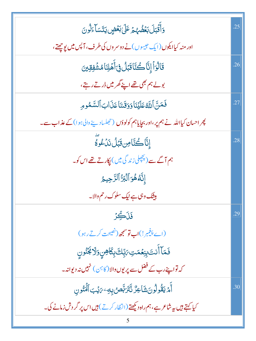| وَأَقَّبَلَ بَعُضُهُمْ عَلَىٰ بَعُضٍ يَتَسَآءَلُونَ                              | .25 |
|----------------------------------------------------------------------------------|-----|
| اور منہ کیاایکوں(ایک حبیبوں)نے دوسر وں کی طرف، آپس میں پوچھتے،                   |     |
| قَالُوَاۡۚ إِنَّاۡ كُنَّاۚ قَبَلُ فِىٓ أَهۡلِنَاۡ مُشۡفِقِینَ                    | .26 |
| بولے ہم بھی تھے اپنے گھر میں ڈرتے رہتے،                                          |     |
| فَمَنَّ ٱللَّهُ عَلَيۡنَا وَوَقَلنَا عَذَابَ ٱلسَّمُومِ                          | .27 |
| پھر احسان کیااللہ نے ہم پر،اور بچایاہم کولو دَن (تجلساد پنے والی ہوا)کے عذاب سے۔ |     |
| ٳؚڹؓٳڂٛؾۜٳؘۻؚۊؘڹؘڷڹؘٮؙۏۜٷؖٙ                                                      | .28 |
| ہم آگے سے (پچچلی زند گی میں) پکارتے تھے اس کو۔                                   |     |
| إِنَّهُ هُوَ ٱلۡبَرُّ ٱلرَّحِيمُ                                                 |     |
| بیٹنگ وہی ہے نیک سلوک رحم والا۔                                                  |     |
| ڣؘڗؘڴؚڒ                                                                          | .29 |
| (اے پیغمبر!) <b>اب توسمجھ</b> (نصیحت کرتے رہو)                                   |     |
| فَمَآ أَنتَ بِنِعۡمَتِ،رَبِّكَ بِكَاهِنٍوَلَا بَخُنُونِ                          |     |
| کہ تواپنے رب کے فضل سے پر یوں والا (کا ہ <sub>ُ</sub> ن ) نہیں نہ دیوانہ۔        |     |
| ٲٛ <i>ۿ</i> ؾڦۢۏڵۄڹؘۺؘٳۼڒ۠ڐۜڹؘۯٮؚ۠ڡٖڞڔۣڽؿ؆ؽٙڹٲڶٞٮؙٛڹ۠ۅڹ                          | .30 |
| کیا کہتے ہیں پہ شاعر ہے،ہم راہ دیکھتے (انتظار کرتے ) ہیں اس پر گر دش زمانے کی۔   |     |
|                                                                                  |     |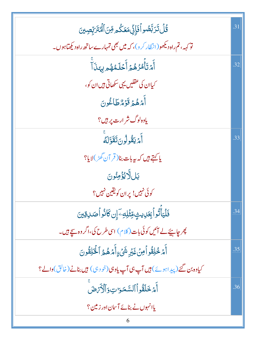| ڴڶٙ <i>ڐؘڗ</i> ڹؖڞؙۅٲٝڡؘٳؙٕڹۣٞڡؘ <i>ڠ</i> ػۢ۠۠۠ <sub>ڡ</sub> ؚڡؚۜٞڽٲڷؙ <i>ڰڎؘڔ</i> ۜٚؾڝؚؾ | .31 |
|-------------------------------------------------------------------------------------------|-----|
| تو <sub>کہہ</sub> ، تم راہ دیکھو(انتظار کر و)، کہ میں بھی تمہارے ساتھ راہ دیکھتاہوں۔      |     |
| ِ<br>أَمۡتَأۡمُرُهُمۡ أَحۡلَمُهُمۡ بِہَنَآ                                                | .32 |
| کیاان کی عقلیں یہی سکھاتی ہیں ان کو،                                                      |     |
| أَمُهُمُ قَوَمٌ طَاعُونَ                                                                  |     |
| یاوه لوگ شر ارت پر ہیں؟                                                                   |     |
| أَمْ يَقُولُونَ تَقَوَّلَهُ                                                               | .33 |
| يا <del>ك</del> متے <del>ہ</del> يں كہ بيہ بات بنا( قر آن گھڻ)لايا؟                       |     |
| ڹڸٳؖٞۮێٷٙڡڹ۠ۏڹؘ                                                                           |     |
| کوئی نہیں! پران کویقین نہیں؟                                                              |     |
| <b>ذَلۡيَٰٓأَتُواۡ بِحَالِيتِ مِّتۡلِكِ ۖ</b> إِن كَانُو أَصَلِ قِينَ                     | .34 |
| پھر چاہیئے لے ائیں کوئی بات(کلام) اسی طرح کی،اگر وہ سچے ہیں۔                              |     |
| أَمْ خُلِقُواْمِنْ غَيْرِ شَيْءٍأَمَرْهُمُ ٱلْحَلِقُونَ                                   | .35 |
| کیاوہ بن گئے (پیداہوئے) ہیں آپ ہی آپ یاوہی(خود ہی) ہیں بنانے (خالق)والے؟                  |     |
| أَمَرْ خَلَقُواْ ٱلسَّمَوَاتِ وَٱلْأَرْضَ                                                 | .36 |
| یاانہوں نے بنائے آسان اور زمین؟                                                           |     |
|                                                                                           |     |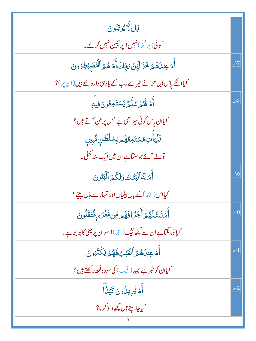| ڹڶڵؖٳؽۏۊێۏڹؘ                                                                |     |
|-----------------------------------------------------------------------------|-----|
| کوئی(ہر گز)نہیں! پریقین نہیں کرتے۔                                          |     |
| ٲٛ <i>ٙۿٙ</i> ؏ڹٮؘ؋ۿۄٙڂؘۯٙٳ <i>ٚٳڹ۠ۥؾ</i> ۪ۜڐٲۜۿۿۿۯٲڷؙ <i>ڣڝؘؽٙڟؚۯ۠</i> ۅڽؘ | .37 |
| کیاانکے پاس ہیں خزانے تیرے رب کے یاوہی داروغے ہیں (ان پر)؟                  |     |
| أَمْ لَهُمُ سُلَّمٌ يَسۡتَمِعُونَ فِيهِ                                     | .38 |
| کیاان پاس کوئی سیڑ ھی ہے جس پر <sub>سُ</sub> ن آتے ہیں؟                     |     |
| <b>ذَلَ</b> يَأْتِ مُسۡتَمِعُهُم بِسُلۡطَنِ مُّبِينِ                        |     |
| تولے آئے جو سنآہے ان میں ایک سند کھلی۔                                      |     |
| أَمَرْلَهُ الْبَتَتُ وَلَكُمُ الْبَنُونَ                                    | .39 |
| کیااس (اللہ)کے ہاں پیلیاں اور تمہارے ہاں بیٹے؟                              |     |
| أَمُ تَسَْلُهُمُ أَجُرًا فَهُم قِن مَّغْرَمٍ مُّتُقَلُونَ                   | 40  |
| کیاتومانگناہےان سے کچھ نیگ(ج.)! سوان پر چٹی کا بوجھ ہے۔                     |     |
| أَمْ عِندَهُمُ ٱلْغَيْبُ فَهُمَّ يَكُنُّبُونَ                               | .41 |
| کیاان کو خبر ہے بھید (غیب) کی سووہ لکھ رکھتے ہیں؟                           |     |
| أَمَّ يُرِيدُونَ كَيْدًا                                                    | .42 |
| کیاچاہتے ہیں کچھ داؤ کرنا؟                                                  |     |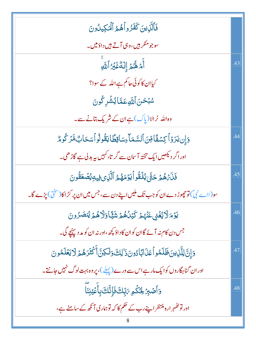| .43 |
|-----|
|     |
|     |
|     |
| 44  |
|     |
| .45 |
|     |
| .46 |
|     |
| 47  |
|     |
| .48 |
|     |
|     |